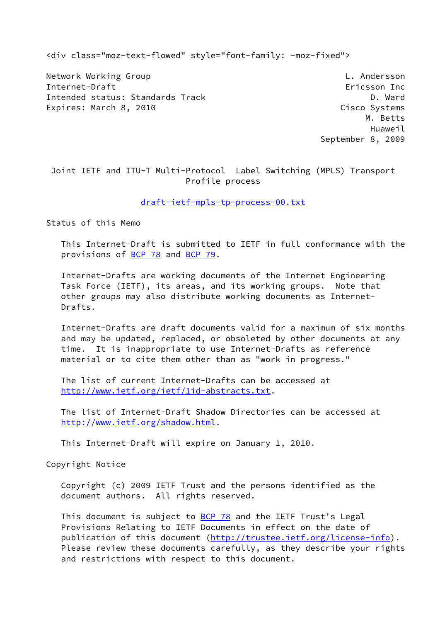<div class="moz-text-flowed" style="font-family: -moz-fixed">

Network Working Group **Letter Controller Controller** L. Andersson Internet-Draft Ericsson Inc Intended status: Standards Track D. Ward Expires: March 8, 2010 **Cisco Systems** 

 M. Betts Huaweil September 8, 2009

 Joint IETF and ITU-T Multi-Protocol Label Switching (MPLS) Transport Profile process

#### [draft-ietf-mpls-tp-process-00.txt](https://datatracker.ietf.org/doc/pdf/draft-ietf-mpls-tp-process-00.txt)

Status of this Memo

 This Internet-Draft is submitted to IETF in full conformance with the provisions of [BCP 78](https://datatracker.ietf.org/doc/pdf/bcp78) and [BCP 79](https://datatracker.ietf.org/doc/pdf/bcp79).

 Internet-Drafts are working documents of the Internet Engineering Task Force (IETF), its areas, and its working groups. Note that other groups may also distribute working documents as Internet- Drafts.

 Internet-Drafts are draft documents valid for a maximum of six months and may be updated, replaced, or obsoleted by other documents at any time. It is inappropriate to use Internet-Drafts as reference material or to cite them other than as "work in progress."

 The list of current Internet-Drafts can be accessed at <http://www.ietf.org/ietf/1id-abstracts.txt>.

 The list of Internet-Draft Shadow Directories can be accessed at <http://www.ietf.org/shadow.html>.

This Internet-Draft will expire on January 1, 2010.

Copyright Notice

 Copyright (c) 2009 IETF Trust and the persons identified as the document authors. All rights reserved.

This document is subject to **[BCP 78](https://datatracker.ietf.org/doc/pdf/bcp78)** and the IETF Trust's Legal Provisions Relating to IETF Documents in effect on the date of publication of this document [\(http://trustee.ietf.org/license-info](http://trustee.ietf.org/license-info)). Please review these documents carefully, as they describe your rights and restrictions with respect to this document.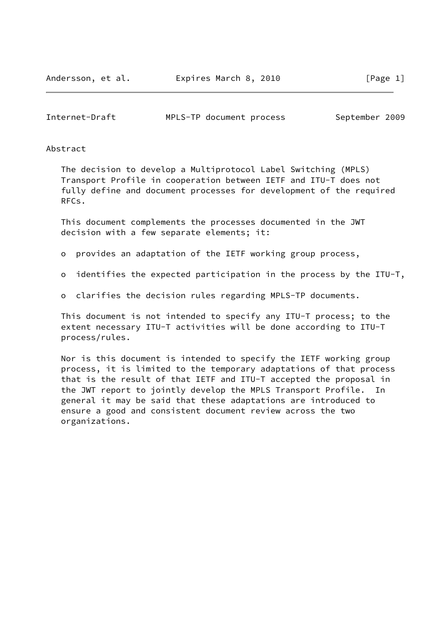Internet-Draft MPLS-TP document process September 2009

### Abstract

 The decision to develop a Multiprotocol Label Switching (MPLS) Transport Profile in cooperation between IETF and ITU-T does not fully define and document processes for development of the required RFCs.

 This document complements the processes documented in the JWT decision with a few separate elements; it:

- o provides an adaptation of the IETF working group process,
- o identifies the expected participation in the process by the ITU-T,
- o clarifies the decision rules regarding MPLS-TP documents.

 This document is not intended to specify any ITU-T process; to the extent necessary ITU-T activities will be done according to ITU-T process/rules.

 Nor is this document is intended to specify the IETF working group process, it is limited to the temporary adaptations of that process that is the result of that IETF and ITU-T accepted the proposal in the JWT report to jointly develop the MPLS Transport Profile. In general it may be said that these adaptations are introduced to ensure a good and consistent document review across the two organizations.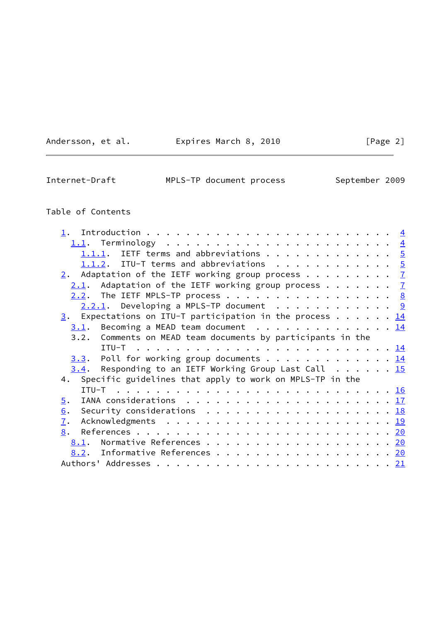Andersson, et al. **Expires March 8, 2010** [Page 2]

 $\overline{\phantom{0}}$ 

Internet-Draft MPLS-TP document process September 2009

# Table of Contents

| 1.1.1. IETF terms and abbreviations 5                                                                   |  |
|---------------------------------------------------------------------------------------------------------|--|
| 1.1.2. ITU-T terms and abbreviations 5                                                                  |  |
| 2. Adaptation of the IETF working group process $\frac{7}{2}$                                           |  |
| 2.1. Adaptation of the IETF working group process $\frac{7}{2}$                                         |  |
| 2.2. The IETF MPLS-TP process 8                                                                         |  |
| $2.2.1$ . Developing a MPLS-TP document 9                                                               |  |
| $\frac{3}{2}$ . Expectations on ITU-T participation in the process 14                                   |  |
| Becoming a MEAD team document $\dots \dots \dots \dots \dots \dots \dots$<br>3.1.                       |  |
| 3.2. Comments on MEAD team documents by participants in the                                             |  |
|                                                                                                         |  |
| $3.3$ . Poll for working group documents 14                                                             |  |
| $3.4$ . Responding to an IETF Working Group Last Call 15                                                |  |
| 4. Specific guidelines that apply to work on MPLS-TP in the                                             |  |
|                                                                                                         |  |
| IANA considerations $\ldots \ldots \ldots \ldots \ldots \ldots \ldots \frac{17}{2}$<br>$\overline{5}$ . |  |
| Security considerations $\ldots \ldots \ldots \ldots \ldots \ldots \ldots \frac{18}{18}$<br>6.          |  |
| $\overline{1}$ .                                                                                        |  |
| 8.                                                                                                      |  |
| 8.1. Normative References 20                                                                            |  |
| 8.2. Informative References 20                                                                          |  |
|                                                                                                         |  |
|                                                                                                         |  |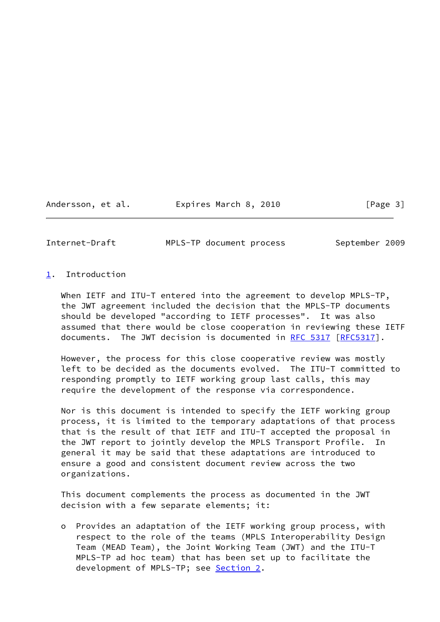Andersson, et al. Expires March 8, 2010 [Page 3]

<span id="page-3-1"></span>

Internet-Draft MPLS-TP document process September 2009

### <span id="page-3-0"></span>[1](#page-3-0). Introduction

When IETF and ITU-T entered into the agreement to develop MPLS-TP, the JWT agreement included the decision that the MPLS-TP documents should be developed "according to IETF processes". It was also assumed that there would be close cooperation in reviewing these IETF documents. The JWT decision is documented in [RFC 5317](https://datatracker.ietf.org/doc/pdf/rfc5317) [\[RFC5317](https://datatracker.ietf.org/doc/pdf/rfc5317)].

 However, the process for this close cooperative review was mostly left to be decided as the documents evolved. The ITU-T committed to responding promptly to IETF working group last calls, this may require the development of the response via correspondence.

 Nor is this document is intended to specify the IETF working group process, it is limited to the temporary adaptations of that process that is the result of that IETF and ITU-T accepted the proposal in the JWT report to jointly develop the MPLS Transport Profile. In general it may be said that these adaptations are introduced to ensure a good and consistent document review across the two organizations.

 This document complements the process as documented in the JWT decision with a few separate elements; it:

 o Provides an adaptation of the IETF working group process, with respect to the role of the teams (MPLS Interoperability Design Team (MEAD Team), the Joint Working Team (JWT) and the ITU-T MPLS-TP ad hoc team) that has been set up to facilitate the development of MPLS-TP; see [Section 2.](#page-6-0)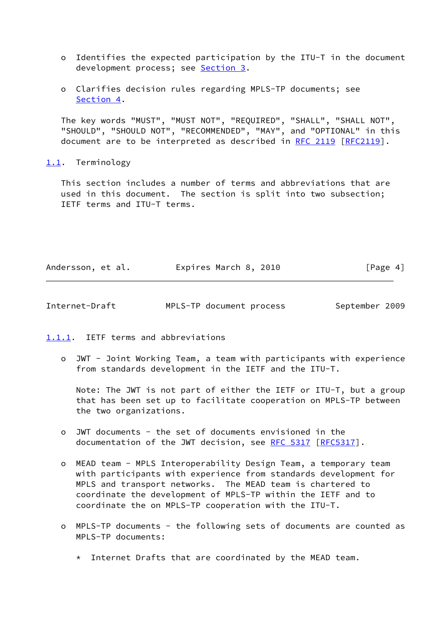- o Identifies the expected participation by the ITU-T in the document development process; see [Section 3.](#page-14-0)
- o Clarifies decision rules regarding MPLS-TP documents; see [Section 4.](#page-16-1)

 The key words "MUST", "MUST NOT", "REQUIRED", "SHALL", "SHALL NOT", "SHOULD", "SHOULD NOT", "RECOMMENDED", "MAY", and "OPTIONAL" in this document are to be interpreted as described in [RFC 2119 \[RFC2119](https://datatracker.ietf.org/doc/pdf/rfc2119)].

<span id="page-4-0"></span>[1.1](#page-4-0). Terminology

 This section includes a number of terms and abbreviations that are used in this document. The section is split into two subsection; IETF terms and ITU-T terms.

| Andersson, et al. | Expires March 8, 2010<br>[Page 4] |
|-------------------|-----------------------------------|
|-------------------|-----------------------------------|

<span id="page-4-2"></span>Internet-Draft MPLS-TP document process September 2009

<span id="page-4-1"></span>[1.1.1](#page-4-1). IETF terms and abbreviations

 o JWT - Joint Working Team, a team with participants with experience from standards development in the IETF and the ITU-T.

 Note: The JWT is not part of either the IETF or ITU-T, but a group that has been set up to facilitate cooperation on MPLS-TP between the two organizations.

- o JWT documents the set of documents envisioned in the documentation of the JWT decision, see [RFC 5317](https://datatracker.ietf.org/doc/pdf/rfc5317) [[RFC5317\]](https://datatracker.ietf.org/doc/pdf/rfc5317).
- o MEAD team MPLS Interoperability Design Team, a temporary team with participants with experience from standards development for MPLS and transport networks. The MEAD team is chartered to coordinate the development of MPLS-TP within the IETF and to coordinate the on MPLS-TP cooperation with the ITU-T.
- o MPLS-TP documents the following sets of documents are counted as MPLS-TP documents:
	- \* Internet Drafts that are coordinated by the MEAD team.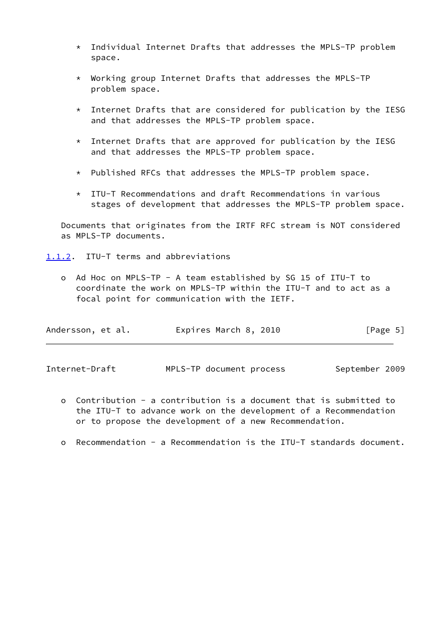- \* Individual Internet Drafts that addresses the MPLS-TP problem space.
- \* Working group Internet Drafts that addresses the MPLS-TP problem space.
- $*$  Internet Drafts that are considered for publication by the IESG and that addresses the MPLS-TP problem space.
- \* Internet Drafts that are approved for publication by the IESG and that addresses the MPLS-TP problem space.
- \* Published RFCs that addresses the MPLS-TP problem space.
- \* ITU-T Recommendations and draft Recommendations in various stages of development that addresses the MPLS-TP problem space.

 Documents that originates from the IRTF RFC stream is NOT considered as MPLS-TP documents.

<span id="page-5-0"></span>[1.1.2](#page-5-0). ITU-T terms and abbreviations

 o Ad Hoc on MPLS-TP - A team established by SG 15 of ITU-T to coordinate the work on MPLS-TP within the ITU-T and to act as a focal point for communication with the IETF.

| Andersson, et al. | Expires March 8, 2010 | [Page 5] |
|-------------------|-----------------------|----------|
|-------------------|-----------------------|----------|

Internet-Draft MPLS-TP document process September 2009

- o Contribution a contribution is a document that is submitted to the ITU-T to advance work on the development of a Recommendation or to propose the development of a new Recommendation.
- o Recommendation a Recommendation is the ITU-T standards document.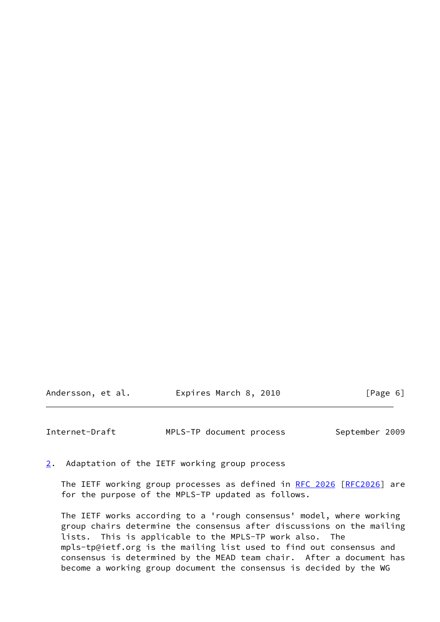### Andersson, et al. **Expires March 8, 2010** [Page 6]

<span id="page-6-1"></span>Internet-Draft MPLS-TP document process September 2009

<span id="page-6-0"></span>[2](#page-6-0). Adaptation of the IETF working group process

The IETF working group processes as defined in [RFC 2026 \[RFC2026](https://datatracker.ietf.org/doc/pdf/rfc2026)] are for the purpose of the MPLS-TP updated as follows.

 The IETF works according to a 'rough consensus' model, where working group chairs determine the consensus after discussions on the mailing lists. This is applicable to the MPLS-TP work also. The mpls-tp@ietf.org is the mailing list used to find out consensus and consensus is determined by the MEAD team chair. After a document has become a working group document the consensus is decided by the WG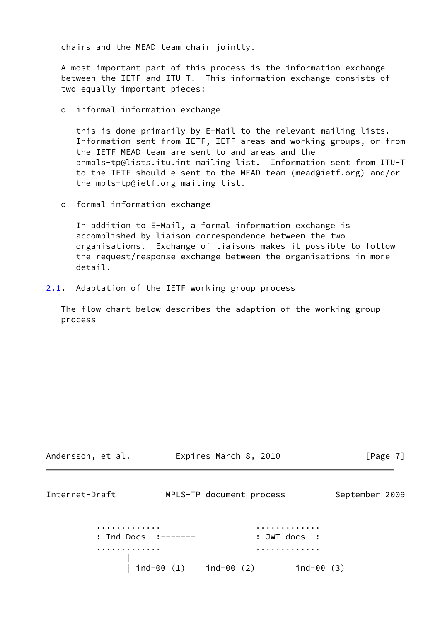chairs and the MEAD team chair jointly.

 A most important part of this process is the information exchange between the IETF and ITU-T. This information exchange consists of two equally important pieces:

o informal information exchange

 this is done primarily by E-Mail to the relevant mailing lists. Information sent from IETF, IETF areas and working groups, or from the IETF MEAD team are sent to and areas and the ahmpls-tp@lists.itu.int mailing list. Information sent from ITU-T to the IETF should e sent to the MEAD team (mead@ietf.org) and/or the mpls-tp@ietf.org mailing list.

o formal information exchange

 In addition to E-Mail, a formal information exchange is accomplished by liaison correspondence between the two organisations. Exchange of liaisons makes it possible to follow the request/response exchange between the organisations in more detail.

<span id="page-7-0"></span>[2.1](#page-7-0). Adaptation of the IETF working group process

 The flow chart below describes the adaption of the working group process

<span id="page-7-1"></span>

| Andersson, et al.   | Expires March 8, 2010                       | [Page $7$ ]    |
|---------------------|---------------------------------------------|----------------|
| Internet-Draft      | MPLS-TP document process                    | September 2009 |
| : Ind Docs :------+ | : JWT docs :                                |                |
| .                   | $ind-00 (1)$   $ind-00 (2)$<br>ind-00 $(3)$ |                |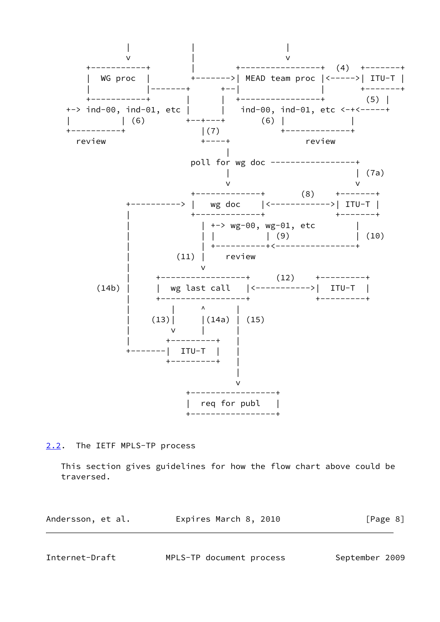

<span id="page-8-0"></span>[2.2](#page-8-0). The IETF MPLS-TP process

 This section gives guidelines for how the flow chart above could be traversed.

| Andersson, et al. | Expires March 8, 2010 | [Page 8] |
|-------------------|-----------------------|----------|
|                   |                       |          |

<span id="page-8-1"></span>Internet-Draft MPLS-TP document process September 2009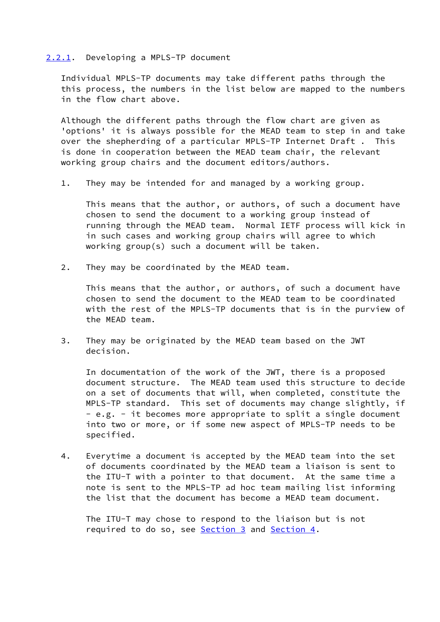#### <span id="page-9-0"></span>[2.2.1](#page-9-0). Developing a MPLS-TP document

 Individual MPLS-TP documents may take different paths through the this process, the numbers in the list below are mapped to the numbers in the flow chart above.

 Although the different paths through the flow chart are given as 'options' it is always possible for the MEAD team to step in and take over the shepherding of a particular MPLS-TP Internet Draft . This is done in cooperation between the MEAD team chair, the relevant working group chairs and the document editors/authors.

1. They may be intended for and managed by a working group.

 This means that the author, or authors, of such a document have chosen to send the document to a working group instead of running through the MEAD team. Normal IETF process will kick in in such cases and working group chairs will agree to which working group(s) such a document will be taken.

2. They may be coordinated by the MEAD team.

 This means that the author, or authors, of such a document have chosen to send the document to the MEAD team to be coordinated with the rest of the MPLS-TP documents that is in the purview of the MEAD team.

 3. They may be originated by the MEAD team based on the JWT decision.

 In documentation of the work of the JWT, there is a proposed document structure. The MEAD team used this structure to decide on a set of documents that will, when completed, constitute the MPLS-TP standard. This set of documents may change slightly, if - e.g. - it becomes more appropriate to split a single document into two or more, or if some new aspect of MPLS-TP needs to be specified.

 4. Everytime a document is accepted by the MEAD team into the set of documents coordinated by the MEAD team a liaison is sent to the ITU-T with a pointer to that document. At the same time a note is sent to the MPLS-TP ad hoc team mailing list informing the list that the document has become a MEAD team document.

 The ITU-T may chose to respond to the liaison but is not required to do so, see [Section 3](#page-14-0) and [Section 4.](#page-16-1)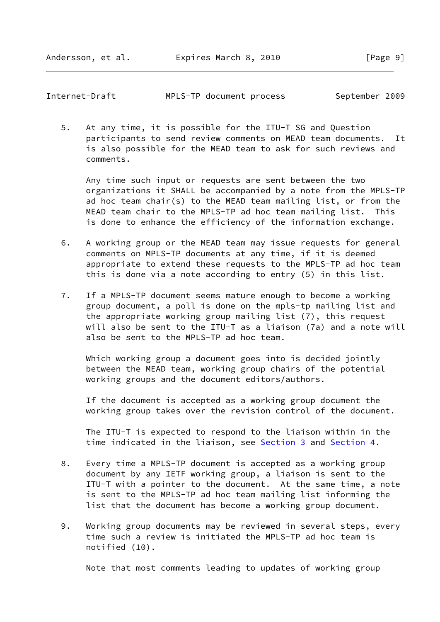Andersson, et al. Expires March 8, 2010 [Page 9]

Internet-Draft MPLS-TP document process September 2009

 5. At any time, it is possible for the ITU-T SG and Question participants to send review comments on MEAD team documents. It is also possible for the MEAD team to ask for such reviews and comments.

 Any time such input or requests are sent between the two organizations it SHALL be accompanied by a note from the MPLS-TP ad hoc team chair(s) to the MEAD team mailing list, or from the MEAD team chair to the MPLS-TP ad hoc team mailing list. This is done to enhance the efficiency of the information exchange.

- 6. A working group or the MEAD team may issue requests for general comments on MPLS-TP documents at any time, if it is deemed appropriate to extend these requests to the MPLS-TP ad hoc team this is done via a note according to entry (5) in this list.
- 7. If a MPLS-TP document seems mature enough to become a working group document, a poll is done on the mpls-tp mailing list and the appropriate working group mailing list (7), this request will also be sent to the ITU-T as a liaison (7a) and a note will also be sent to the MPLS-TP ad hoc team.

 Which working group a document goes into is decided jointly between the MEAD team, working group chairs of the potential working groups and the document editors/authors.

 If the document is accepted as a working group document the working group takes over the revision control of the document.

 The ITU-T is expected to respond to the liaison within in the time indicated in the liaison, see [Section 3](#page-14-0) and [Section 4.](#page-16-1)

- 8. Every time a MPLS-TP document is accepted as a working group document by any IETF working group, a liaison is sent to the ITU-T with a pointer to the document. At the same time, a note is sent to the MPLS-TP ad hoc team mailing list informing the list that the document has become a working group document.
- 9. Working group documents may be reviewed in several steps, every time such a review is initiated the MPLS-TP ad hoc team is notified (10).

Note that most comments leading to updates of working group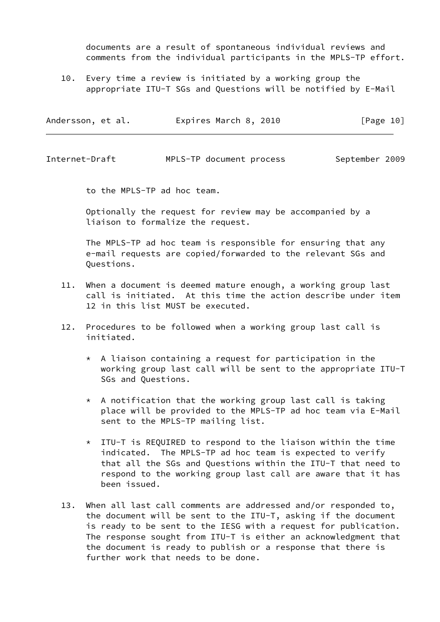documents are a result of spontaneous individual reviews and comments from the individual participants in the MPLS-TP effort.

 10. Every time a review is initiated by a working group the appropriate ITU-T SGs and Questions will be notified by E-Mail

| Expires March 8, 2010<br>[Page 10]<br>Andersson, et al. |  |  |  |  |  |  |  |  |
|---------------------------------------------------------|--|--|--|--|--|--|--|--|
|---------------------------------------------------------|--|--|--|--|--|--|--|--|

Internet-Draft MPLS-TP document process September 2009

to the MPLS-TP ad hoc team.

 Optionally the request for review may be accompanied by a liaison to formalize the request.

 The MPLS-TP ad hoc team is responsible for ensuring that any e-mail requests are copied/forwarded to the relevant SGs and Questions.

- 11. When a document is deemed mature enough, a working group last call is initiated. At this time the action describe under item 12 in this list MUST be executed.
- 12. Procedures to be followed when a working group last call is initiated.
	- \* A liaison containing a request for participation in the working group last call will be sent to the appropriate ITU-T SGs and Questions.
	- $*$  A notification that the working group last call is taking place will be provided to the MPLS-TP ad hoc team via E-Mail sent to the MPLS-TP mailing list.
	- \* ITU-T is REQUIRED to respond to the liaison within the time indicated. The MPLS-TP ad hoc team is expected to verify that all the SGs and Questions within the ITU-T that need to respond to the working group last call are aware that it has been issued.
- 13. When all last call comments are addressed and/or responded to, the document will be sent to the ITU-T, asking if the document is ready to be sent to the IESG with a request for publication. The response sought from ITU-T is either an acknowledgment that the document is ready to publish or a response that there is further work that needs to be done.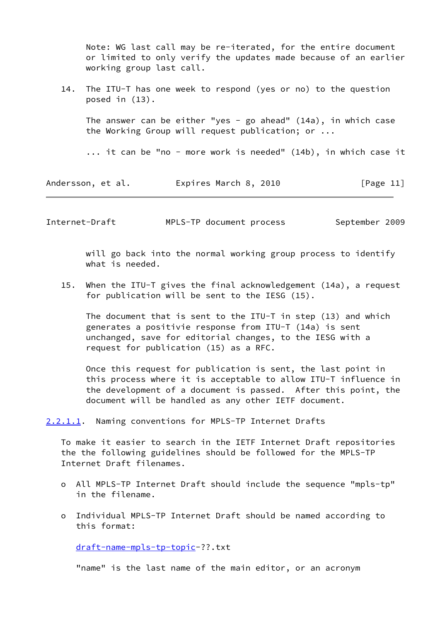Note: WG last call may be re-iterated, for the entire document or limited to only verify the updates made because of an earlier working group last call.

 14. The ITU-T has one week to respond (yes or no) to the question posed in (13).

The answer can be either "yes - go ahead"  $(14a)$ , in which case the Working Group will request publication; or ...

... it can be "no - more work is needed" (14b), in which case it

Andersson, et al. Expires March 8, 2010 [Page 11]

Internet-Draft MPLS-TP document process September 2009

 will go back into the normal working group process to identify what is needed.

 15. When the ITU-T gives the final acknowledgement (14a), a request for publication will be sent to the IESG (15).

 The document that is sent to the ITU-T in step (13) and which generates a positivie response from ITU-T (14a) is sent unchanged, save for editorial changes, to the IESG with a request for publication (15) as a RFC.

 Once this request for publication is sent, the last point in this process where it is acceptable to allow ITU-T influence in the development of a document is passed. After this point, the document will be handled as any other IETF document.

<span id="page-12-0"></span>[2.2.1.1](#page-12-0). Naming conventions for MPLS-TP Internet Drafts

 To make it easier to search in the IETF Internet Draft repositories the the following guidelines should be followed for the MPLS-TP Internet Draft filenames.

- o All MPLS-TP Internet Draft should include the sequence "mpls-tp" in the filename.
- o Individual MPLS-TP Internet Draft should be named according to this format:

[draft-name-mpls-tp-topic-](https://datatracker.ietf.org/doc/pdf/draft-name-mpls-tp-topic)??.txt

"name" is the last name of the main editor, or an acronym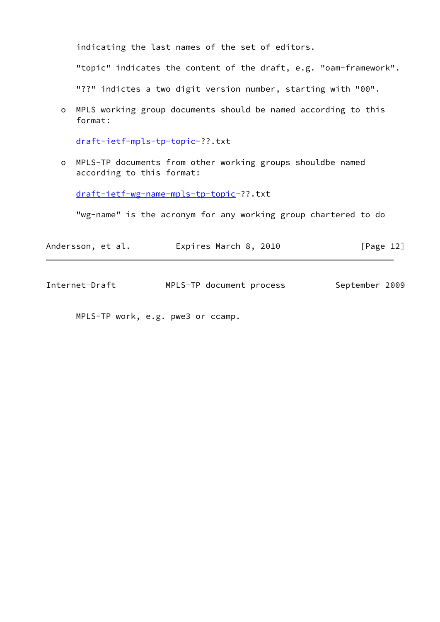indicating the last names of the set of editors.

"topic" indicates the content of the draft, e.g. "oam-framework".

"??" indictes a two digit version number, starting with "00".

 o MPLS working group documents should be named according to this format:

[draft-ietf-mpls-tp-topic-](https://datatracker.ietf.org/doc/pdf/draft-ietf-mpls-tp-topic)??.txt

 o MPLS-TP documents from other working groups shouldbe named according to this format:

[draft-ietf-wg-name-mpls-tp-topic-](https://datatracker.ietf.org/doc/pdf/draft-ietf-wg-name-mpls-tp-topic)??.txt

"wg-name" is the acronym for any working group chartered to do

| Andersson, et al. | Expires March 8, 2010 | [Page 12] |
|-------------------|-----------------------|-----------|
|-------------------|-----------------------|-----------|

Internet-Draft MPLS-TP document process September 2009

MPLS-TP work, e.g. pwe3 or ccamp.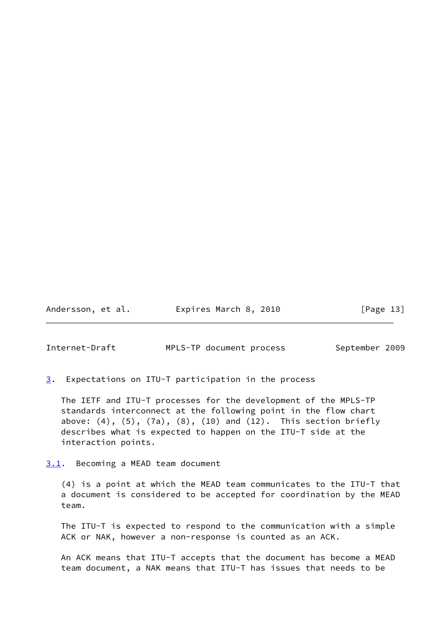Andersson, et al. **Expires March 8, 2010** [Page 13]

<span id="page-14-1"></span>Internet-Draft MPLS-TP document process September 2009

<span id="page-14-0"></span>[3](#page-14-0). Expectations on ITU-T participation in the process

 The IETF and ITU-T processes for the development of the MPLS-TP standards interconnect at the following point in the flow chart above: (4), (5), (7a), (8), (10) and (12). This section briefly describes what is expected to happen on the ITU-T side at the interaction points.

<span id="page-14-2"></span>[3.1](#page-14-2). Becoming a MEAD team document

 (4) is a point at which the MEAD team communicates to the ITU-T that a document is considered to be accepted for coordination by the MEAD team.

 The ITU-T is expected to respond to the communication with a simple ACK or NAK, however a non-response is counted as an ACK.

 An ACK means that ITU-T accepts that the document has become a MEAD team document, a NAK means that ITU-T has issues that needs to be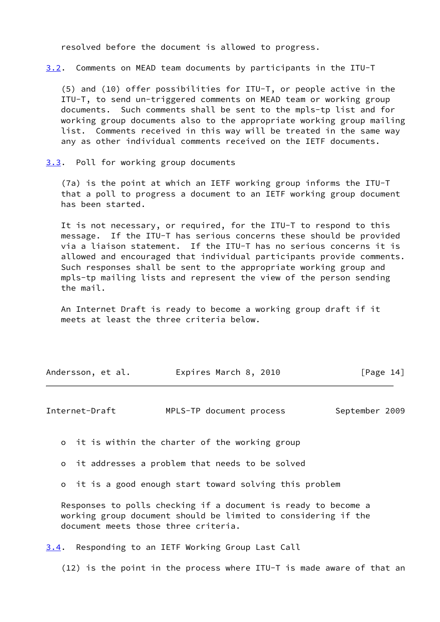resolved before the document is allowed to progress.

<span id="page-15-3"></span>[3.2](#page-15-3). Comments on MEAD team documents by participants in the ITU-T

 (5) and (10) offer possibilities for ITU-T, or people active in the ITU-T, to send un-triggered comments on MEAD team or working group documents. Such comments shall be sent to the mpls-tp list and for working group documents also to the appropriate working group mailing list. Comments received in this way will be treated in the same way any as other individual comments received on the IETF documents.

<span id="page-15-0"></span>[3.3](#page-15-0). Poll for working group documents

 (7a) is the point at which an IETF working group informs the ITU-T that a poll to progress a document to an IETF working group document has been started.

 It is not necessary, or required, for the ITU-T to respond to this message. If the ITU-T has serious concerns these should be provided via a liaison statement. If the ITU-T has no serious concerns it is allowed and encouraged that individual participants provide comments. Such responses shall be sent to the appropriate working group and mpls-tp mailing lists and represent the view of the person sending the mail.

 An Internet Draft is ready to become a working group draft if it meets at least the three criteria below.

| Andersson, et al. | Expires March 8, 2010 | [Page 14] |
|-------------------|-----------------------|-----------|
|-------------------|-----------------------|-----------|

<span id="page-15-2"></span>Internet-Draft MPLS-TP document process September 2009

o it is within the charter of the working group

o it addresses a problem that needs to be solved

o it is a good enough start toward solving this problem

 Responses to polls checking if a document is ready to become a working group document should be limited to considering if the document meets those three criteria.

<span id="page-15-1"></span>[3.4](#page-15-1). Responding to an IETF Working Group Last Call

(12) is the point in the process where ITU-T is made aware of that an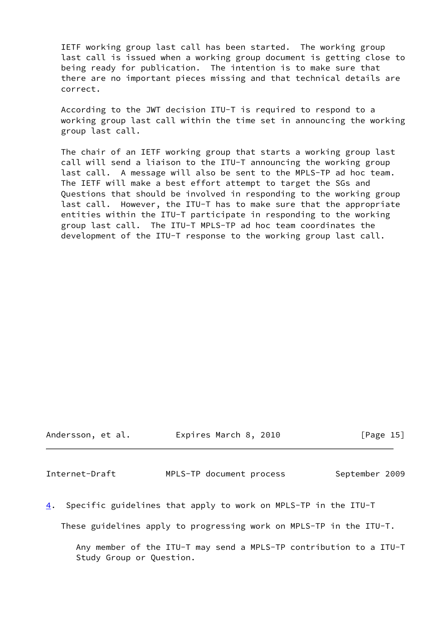IETF working group last call has been started. The working group last call is issued when a working group document is getting close to being ready for publication. The intention is to make sure that there are no important pieces missing and that technical details are correct.

 According to the JWT decision ITU-T is required to respond to a working group last call within the time set in announcing the working group last call.

 The chair of an IETF working group that starts a working group last call will send a liaison to the ITU-T announcing the working group last call. A message will also be sent to the MPLS-TP ad hoc team. The IETF will make a best effort attempt to target the SGs and Questions that should be involved in responding to the working group last call. However, the ITU-T has to make sure that the appropriate entities within the ITU-T participate in responding to the working group last call. The ITU-T MPLS-TP ad hoc team coordinates the development of the ITU-T response to the working group last call.

Andersson, et al. Expires March 8, 2010 [Page 15]

<span id="page-16-0"></span>Internet-Draft MPLS-TP document process September 2009

<span id="page-16-1"></span>[4](#page-16-1). Specific guidelines that apply to work on MPLS-TP in the ITU-T

These guidelines apply to progressing work on MPLS-TP in the ITU-T.

 Any member of the ITU-T may send a MPLS-TP contribution to a ITU-T Study Group or Question.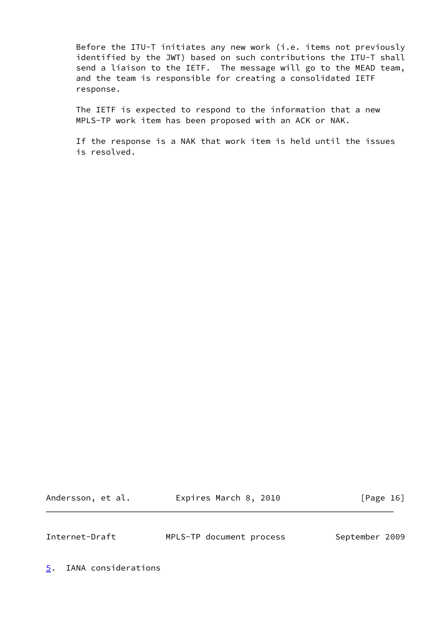Before the ITU-T initiates any new work (i.e. items not previously identified by the JWT) based on such contributions the ITU-T shall send a liaison to the IETF. The message will go to the MEAD team, and the team is responsible for creating a consolidated IETF response.

 The IETF is expected to respond to the information that a new MPLS-TP work item has been proposed with an ACK or NAK.

 If the response is a NAK that work item is held until the issues is resolved.

Andersson, et al. **Expires March 8, 2010** [Page 16]

<span id="page-17-1"></span>Internet-Draft MPLS-TP document process September 2009

<span id="page-17-0"></span>[5](#page-17-0). IANA considerations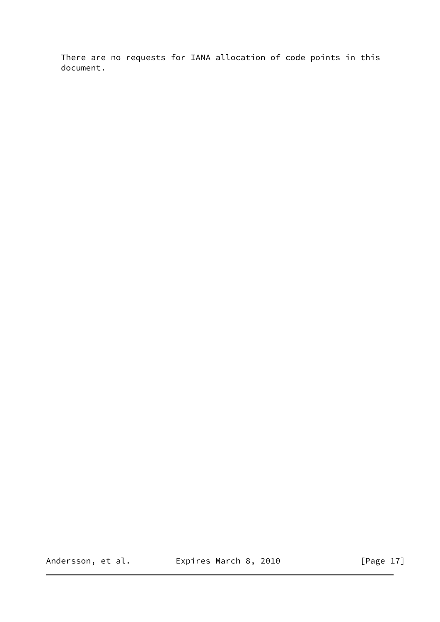There are no requests for IANA allocation of code points in this document.

Andersson, et al. **Expires March 8, 2010** [Page 17]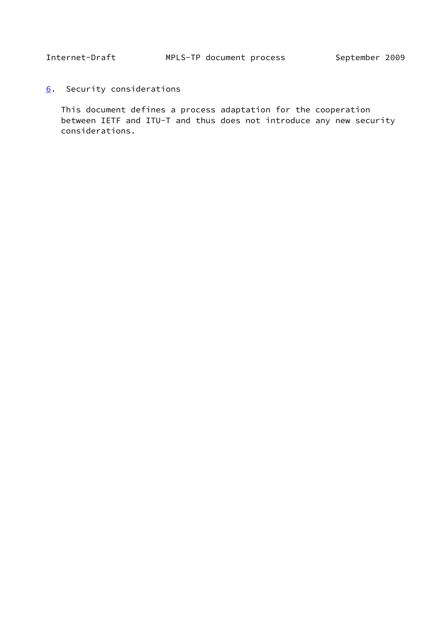<span id="page-19-1"></span><span id="page-19-0"></span>[6](#page-19-0). Security considerations

 This document defines a process adaptation for the cooperation between IETF and ITU-T and thus does not introduce any new security considerations.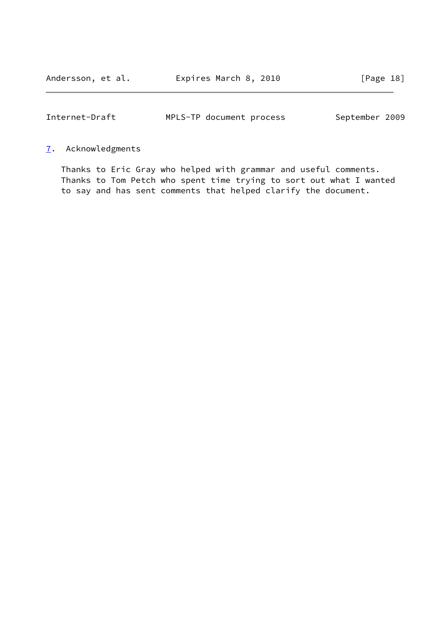<span id="page-20-1"></span>

| Internet-Draft |  | MPLS-TP document process |  |  | September 2009 |  |
|----------------|--|--------------------------|--|--|----------------|--|
|----------------|--|--------------------------|--|--|----------------|--|

# <span id="page-20-0"></span>[7](#page-20-0). Acknowledgments

 Thanks to Eric Gray who helped with grammar and useful comments. Thanks to Tom Petch who spent time trying to sort out what I wanted to say and has sent comments that helped clarify the document.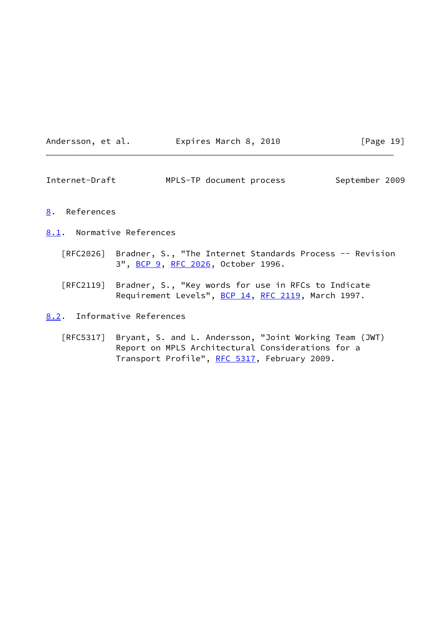| Andersson, |  | et al. |  |
|------------|--|--------|--|
|------------|--|--------|--|

### Expires March 8, 2010 [Page 19]

<span id="page-21-1"></span>Internet-Draft MPLS-TP document process September 2009

### <span id="page-21-0"></span>[8](#page-21-0). References

- <span id="page-21-2"></span>[8.1](#page-21-2). Normative References
	- [RFC2026] Bradner, S., "The Internet Standards Process -- Revision 3", [BCP 9,](https://datatracker.ietf.org/doc/pdf/bcp9) [RFC 2026](https://datatracker.ietf.org/doc/pdf/rfc2026), October 1996.
	- [RFC2119] Bradner, S., "Key words for use in RFCs to Indicate Requirement Levels", [BCP 14](https://datatracker.ietf.org/doc/pdf/bcp14), [RFC 2119](https://datatracker.ietf.org/doc/pdf/rfc2119), March 1997.
- <span id="page-21-3"></span>[8.2](#page-21-3). Informative References
	- [RFC5317] Bryant, S. and L. Andersson, "Joint Working Team (JWT) Report on MPLS Architectural Considerations for a Transport Profile", [RFC 5317,](https://datatracker.ietf.org/doc/pdf/rfc5317) February 2009.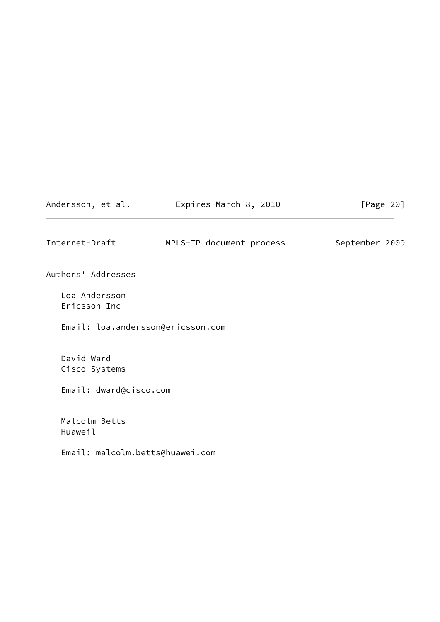Andersson, et al. **Expires March 8, 2010** [Page 20]

<span id="page-22-0"></span>Internet-Draft MPLS-TP document process September 2009

Authors' Addresses

 Loa Andersson Ericsson Inc

Email: loa.andersson@ericsson.com

 David Ward Cisco Systems

Email: dward@cisco.com

 Malcolm Betts Huaweil

Email: malcolm.betts@huawei.com